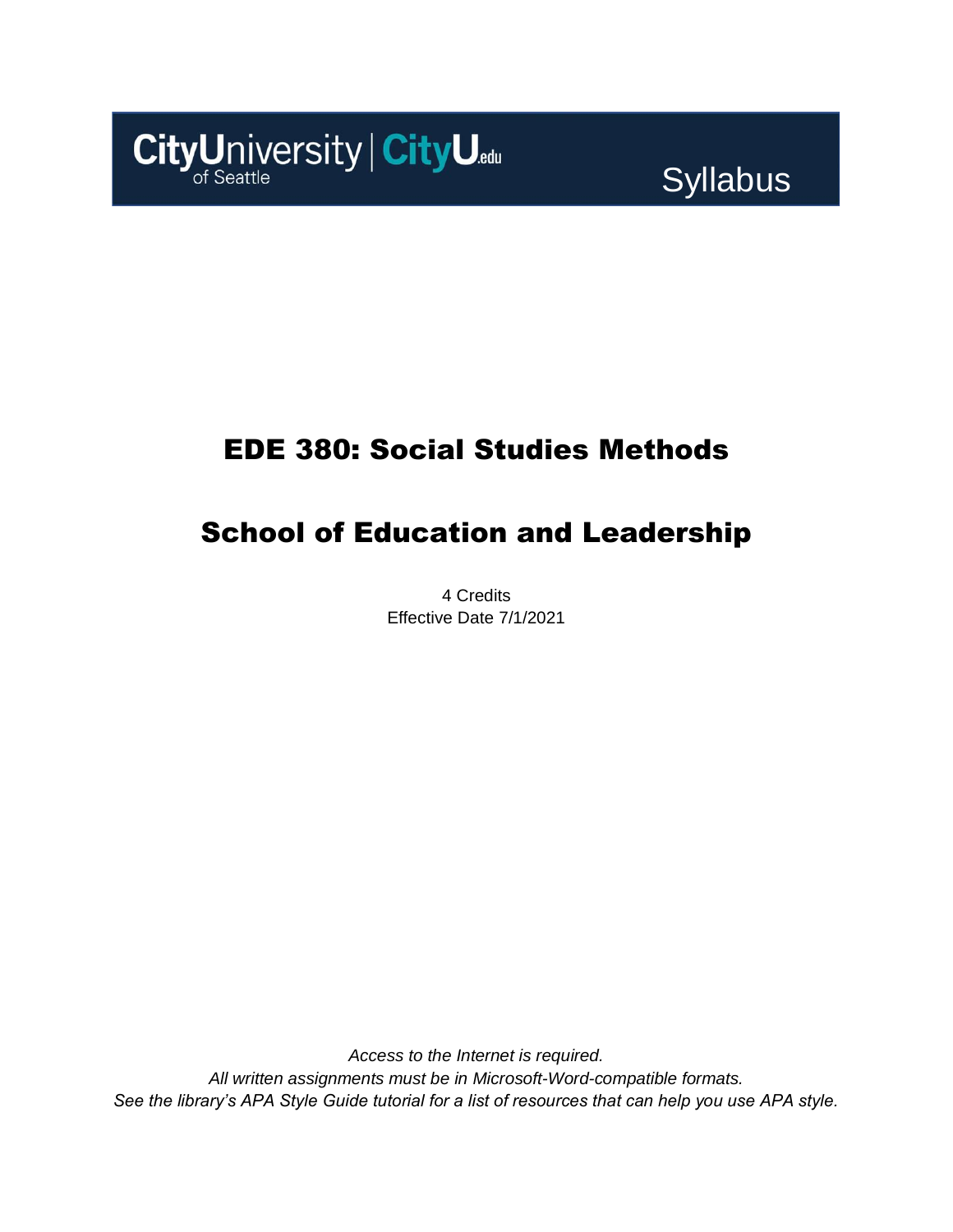

Syllabus

## EDE 380: Social Studies Methods

# School of Education and Leadership

4 Credits Effective Date 7/1/2021

*Access to the Internet is required. All written assignments must be in Microsoft-Word-compatible formats. See the library's APA Style Guide tutorial for a list of resources that can help you use APA style.*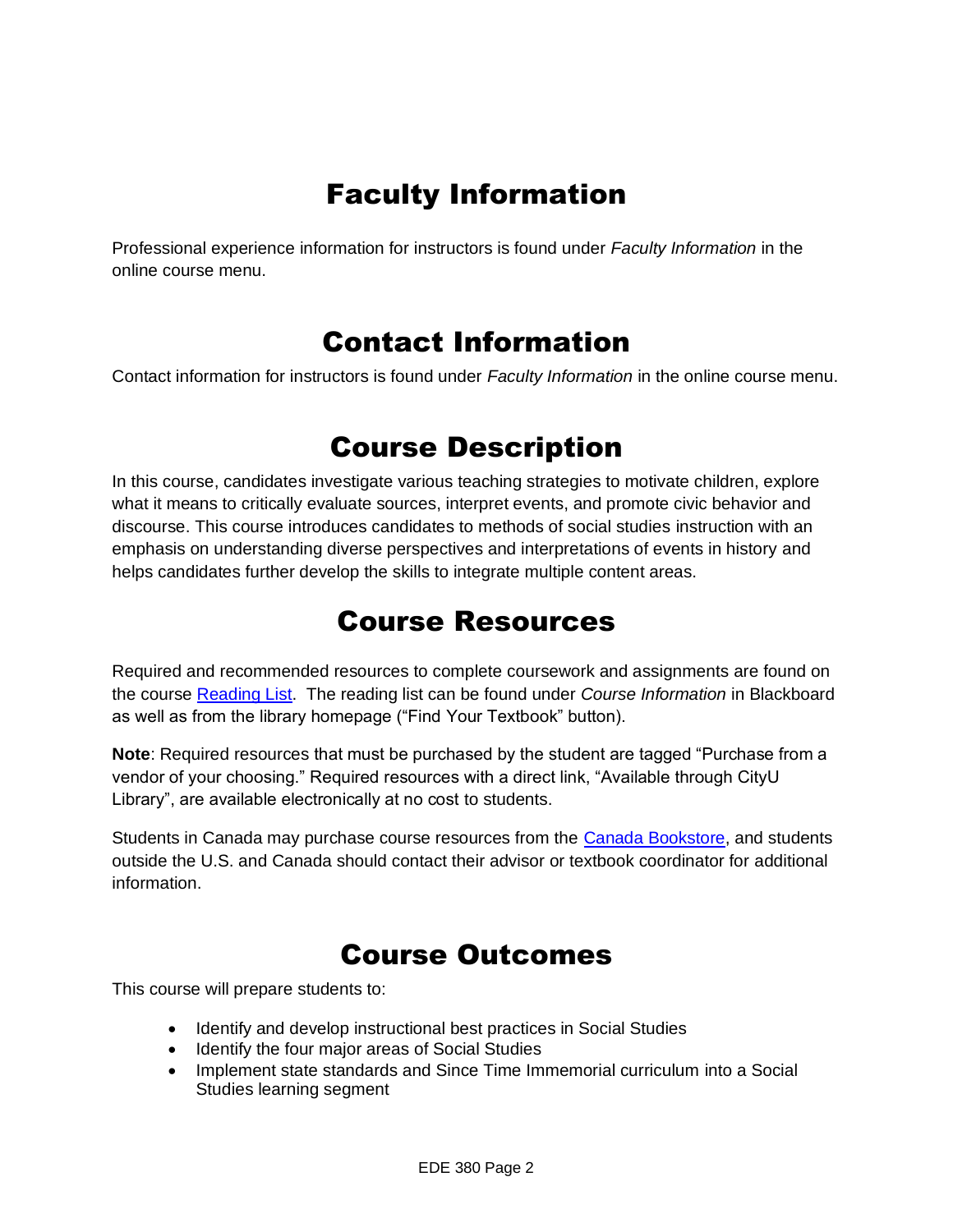# Faculty Information

Professional experience information for instructors is found under *Faculty Information* in the online course menu.

### Contact Information

Contact information for instructors is found under *Faculty Information* in the online course menu.

### Course Description

In this course, candidates investigate various teaching strategies to motivate children, explore what it means to critically evaluate sources, interpret events, and promote civic behavior and discourse. This course introduces candidates to methods of social studies instruction with an emphasis on understanding diverse perspectives and interpretations of events in history and helps candidates further develop the skills to integrate multiple content areas.

### Course Resources

Required and recommended resources to complete coursework and assignments are found on the course [Reading List.](https://cityu.alma.exlibrisgroup.com/leganto/login?auth=SAML) The reading list can be found under *Course Information* in Blackboard as well as from the library homepage ("Find Your Textbook" button).

**Note**: Required resources that must be purchased by the student are tagged "Purchase from a vendor of your choosing." Required resources with a direct link, "Available through CityU Library", are available electronically at no cost to students.

Students in Canada may purchase course resources from the [Canada Bookstore,](https://www.cityubookstore.ca/index.asp) and students outside the U.S. and Canada should contact their advisor or textbook coordinator for additional information.

### Course Outcomes

This course will prepare students to:

- Identify and develop instructional best practices in Social Studies
- Identify the four major areas of Social Studies
- Implement state standards and Since Time Immemorial curriculum into a Social Studies learning segment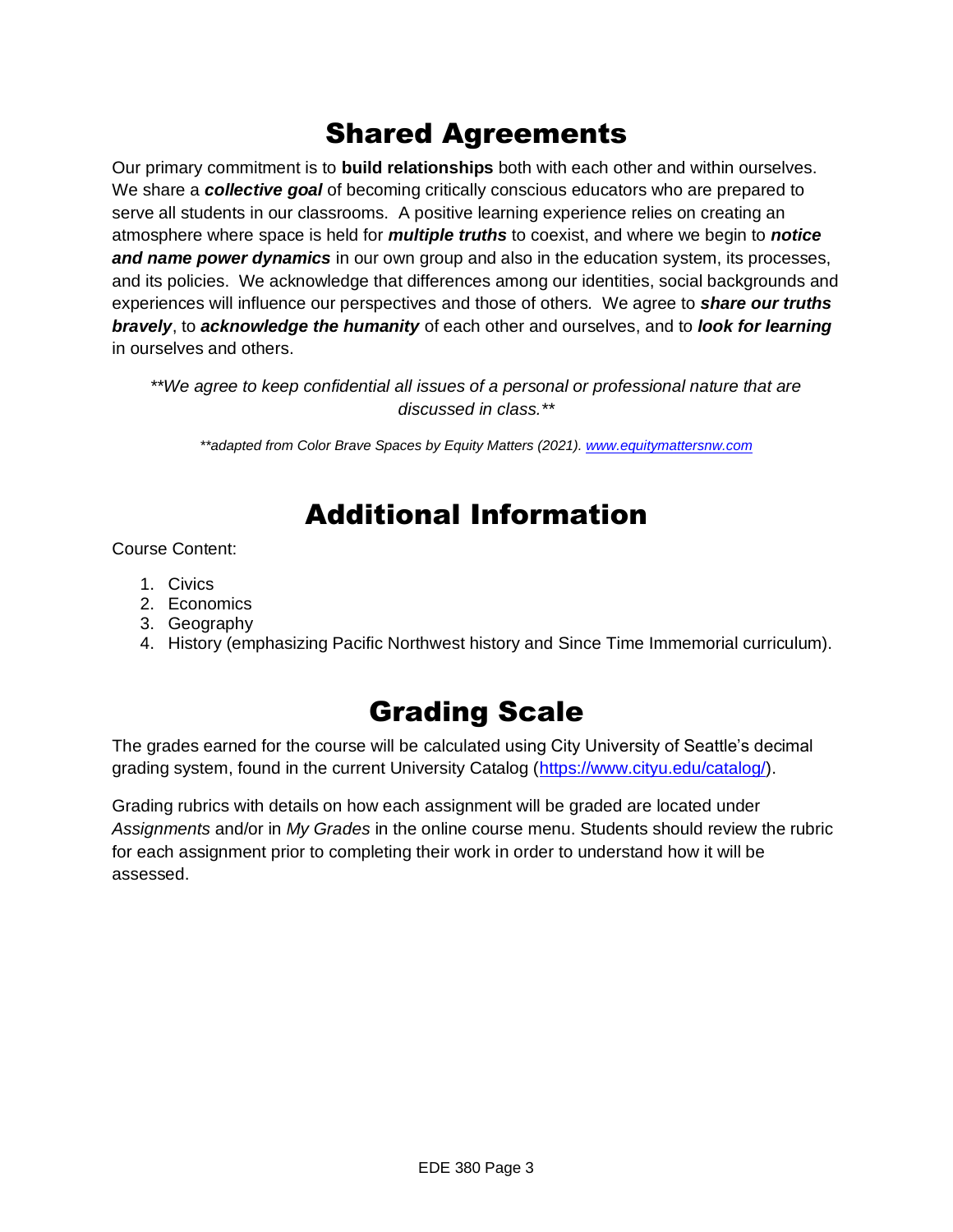# Shared Agreements

Our primary commitment is to **build relationships** both with each other and within ourselves. We share a *collective goal* of becoming critically conscious educators who are prepared to serve all students in our classrooms. A positive learning experience relies on creating an atmosphere where space is held for *multiple truths* to coexist, and where we begin to *notice and name power dynamics* in our own group and also in the education system, its processes, and its policies. We acknowledge that differences among our identities, social backgrounds and experiences will influence our perspectives and those of others*.* We agree to *share our truths bravely*, to *acknowledge the humanity* of each other and ourselves, and to *look for learning* in ourselves and others.

*\*\*We agree to keep confidential all issues of a personal or professional nature that are discussed in class.\*\**

*\*\*adapted from Color Brave Spaces by Equity Matters (2021)[. www.equitymattersnw.com](http://www.equitymattersnw.com/)*

## Additional Information

Course Content:

- 1. Civics
- 2. Economics
- 3. Geography
- 4. History (emphasizing Pacific Northwest history and Since Time Immemorial curriculum).

## Grading Scale

The grades earned for the course will be calculated using City University of Seattle's decimal grading system, found in the current University Catalog [\(https://www.cityu.edu/catalog/\)](https://www.cityu.edu/catalog/).

Grading rubrics with details on how each assignment will be graded are located under *Assignments* and/or in *My Grades* in the online course menu. Students should review the rubric for each assignment prior to completing their work in order to understand how it will be assessed.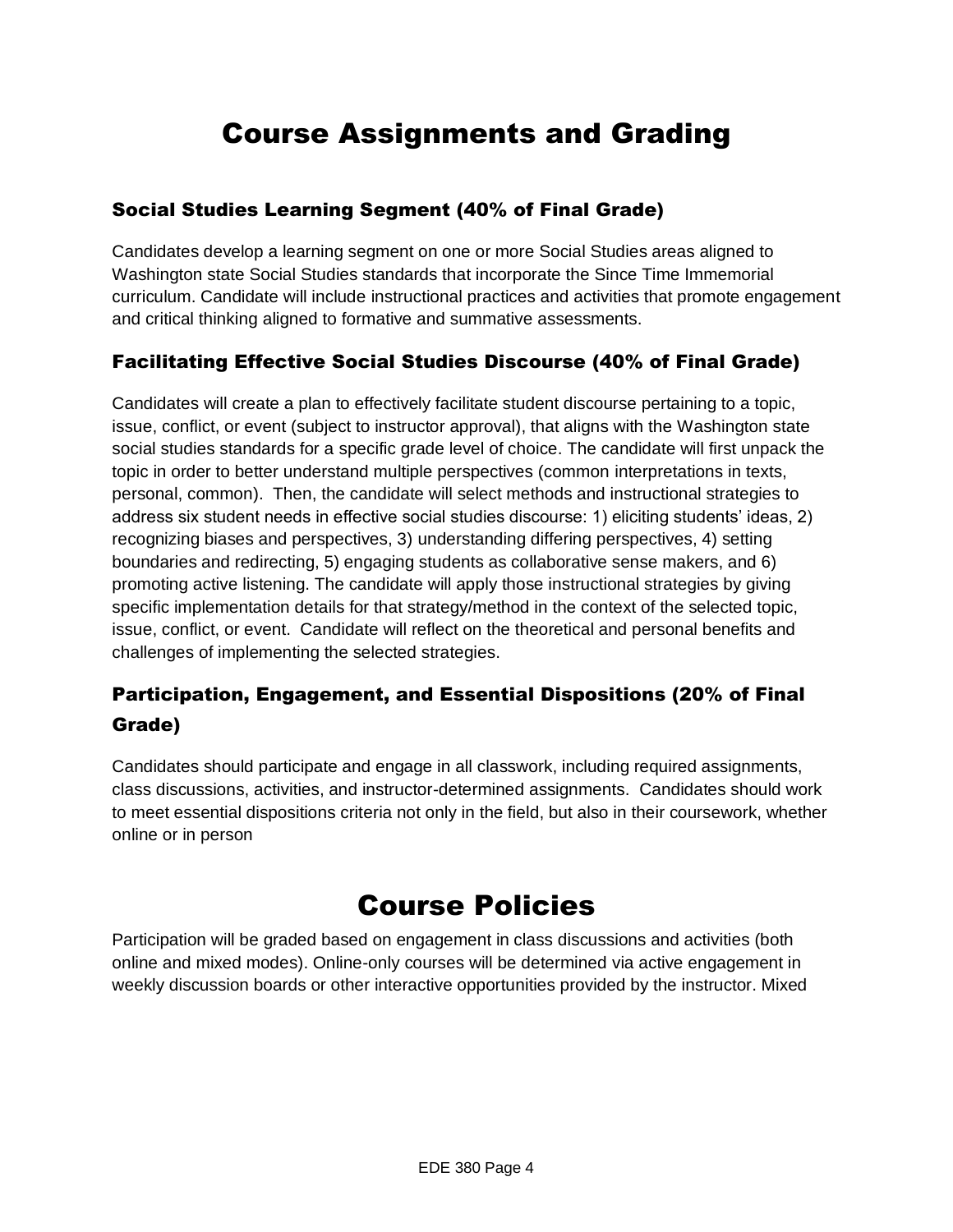# Course Assignments and Grading

#### Social Studies Learning Segment (40% of Final Grade)

Candidates develop a learning segment on one or more Social Studies areas aligned to Washington state Social Studies standards that incorporate the Since Time Immemorial curriculum. Candidate will include instructional practices and activities that promote engagement and critical thinking aligned to formative and summative assessments.

### Facilitating Effective Social Studies Discourse (40% of Final Grade)

Candidates will create a plan to effectively facilitate student discourse pertaining to a topic, issue, conflict, or event (subject to instructor approval), that aligns with the Washington state social studies standards for a specific grade level of choice. The candidate will first unpack the topic in order to better understand multiple perspectives (common interpretations in texts, personal, common). Then, the candidate will select methods and instructional strategies to address six student needs in effective social studies discourse: 1) eliciting students' ideas, 2) recognizing biases and perspectives, 3) understanding differing perspectives, 4) setting boundaries and redirecting, 5) engaging students as collaborative sense makers, and 6) promoting active listening. The candidate will apply those instructional strategies by giving specific implementation details for that strategy/method in the context of the selected topic, issue, conflict, or event. Candidate will reflect on the theoretical and personal benefits and challenges of implementing the selected strategies.

### Participation, Engagement, and Essential Dispositions (20% of Final Grade)

Candidates should participate and engage in all classwork, including required assignments, class discussions, activities, and instructor-determined assignments. Candidates should work to meet essential dispositions criteria not only in the field, but also in their coursework, whether online or in person

### Course Policies

Participation will be graded based on engagement in class discussions and activities (both online and mixed modes). Online-only courses will be determined via active engagement in weekly discussion boards or other interactive opportunities provided by the instructor. Mixed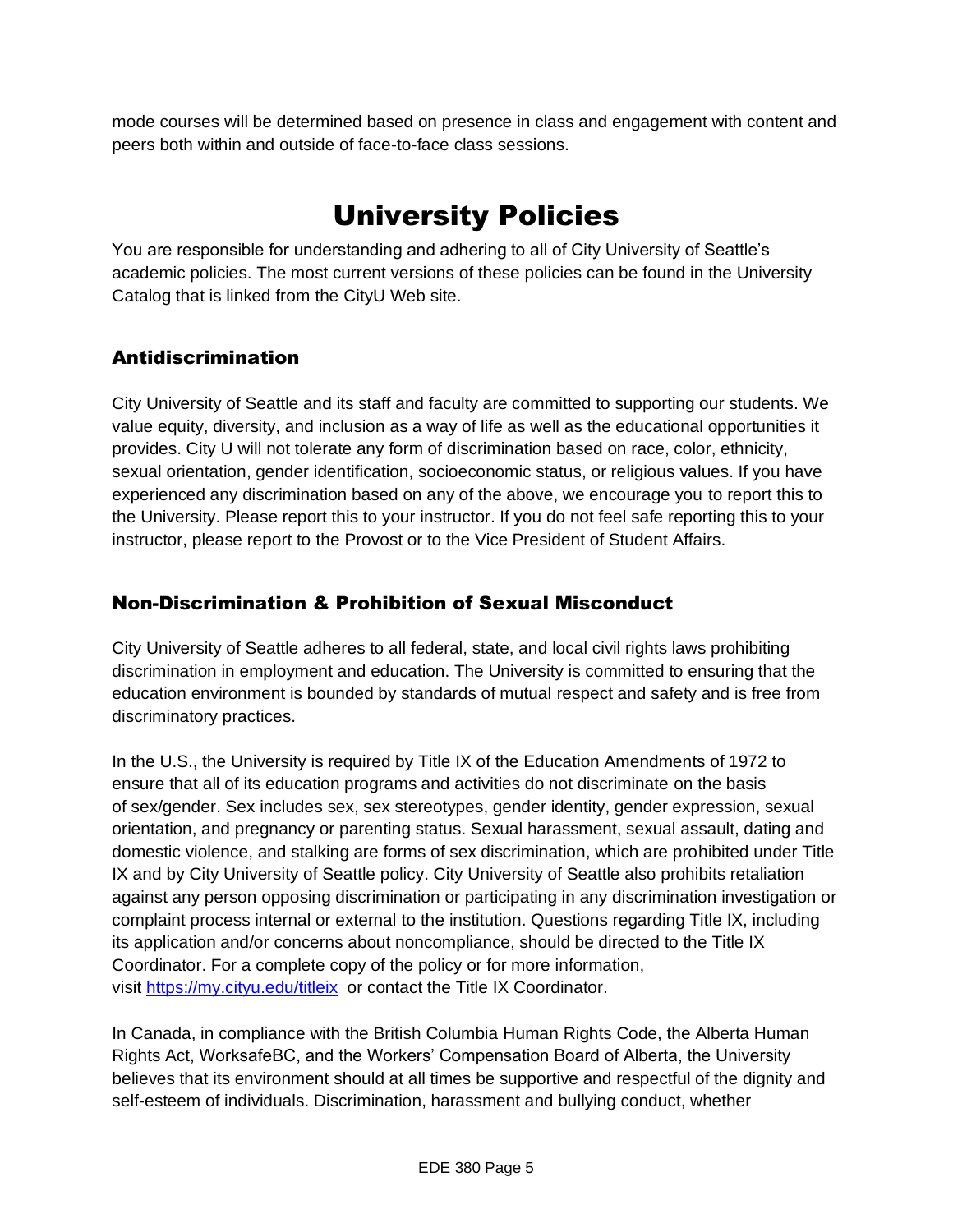mode courses will be determined based on presence in class and engagement with content and peers both within and outside of face-to-face class sessions.

# University Policies

You are responsible for understanding and adhering to all of City University of Seattle's academic policies. The most current versions of these policies can be found in the University Catalog that is linked from the CityU Web site.

### Antidiscrimination

City University of Seattle and its staff and faculty are committed to supporting our students. We value equity, diversity, and inclusion as a way of life as well as the educational opportunities it provides. City U will not tolerate any form of discrimination based on race, color, ethnicity, sexual orientation, gender identification, socioeconomic status, or religious values. If you have experienced any discrimination based on any of the above, we encourage you to report this to the University. Please report this to your instructor. If you do not feel safe reporting this to your instructor, please report to the Provost or to the Vice President of Student Affairs.

### Non-Discrimination & Prohibition of Sexual Misconduct

City University of Seattle adheres to all federal, state, and local civil rights laws prohibiting discrimination in employment and education. The University is committed to ensuring that the education environment is bounded by standards of mutual respect and safety and is free from discriminatory practices.

In the U.S., the University is required by Title IX of the Education Amendments of 1972 to ensure that all of its education programs and activities do not discriminate on the basis of sex/gender. Sex includes sex, sex stereotypes, gender identity, gender expression, sexual orientation, and pregnancy or parenting status. Sexual harassment, sexual assault, dating and domestic violence, and stalking are forms of sex discrimination, which are prohibited under Title IX and by City University of Seattle policy. City University of Seattle also prohibits retaliation against any person opposing discrimination or participating in any discrimination investigation or complaint process internal or external to the institution. Questions regarding Title IX, including its application and/or concerns about noncompliance, should be directed to the Title IX Coordinator. For a complete copy of the policy or for more information, visit [https://my.cityu.edu/titleix](https://nam11.safelinks.protection.outlook.com/?url=https%3A%2F%2Fmy.cityu.edu%2Ftitleix&data=04%7C01%7Claker%40cityu.edu%7Cbc558c70c10340dbaa2408d9172365a0%7Cb3fa96d9f5154662add763d854e39e63%7C1%7C0%7C637566263054321964%7CUnknown%7CTWFpbGZsb3d8eyJWIjoiMC4wLjAwMDAiLCJQIjoiV2luMzIiLCJBTiI6Ik1haWwiLCJXVCI6Mn0%3D%7C1000&sdata=GX0hgfxN2OMKFTKjD04gqvwwyU44mfnCmEdCtsEzab0%3D&reserved=0) or contact the Title IX Coordinator.

In Canada, in compliance with the British Columbia Human Rights Code, the Alberta Human Rights Act, WorksafeBC, and the Workers' Compensation Board of Alberta, the University believes that its environment should at all times be supportive and respectful of the dignity and self-esteem of individuals. Discrimination, harassment and bullying conduct, whether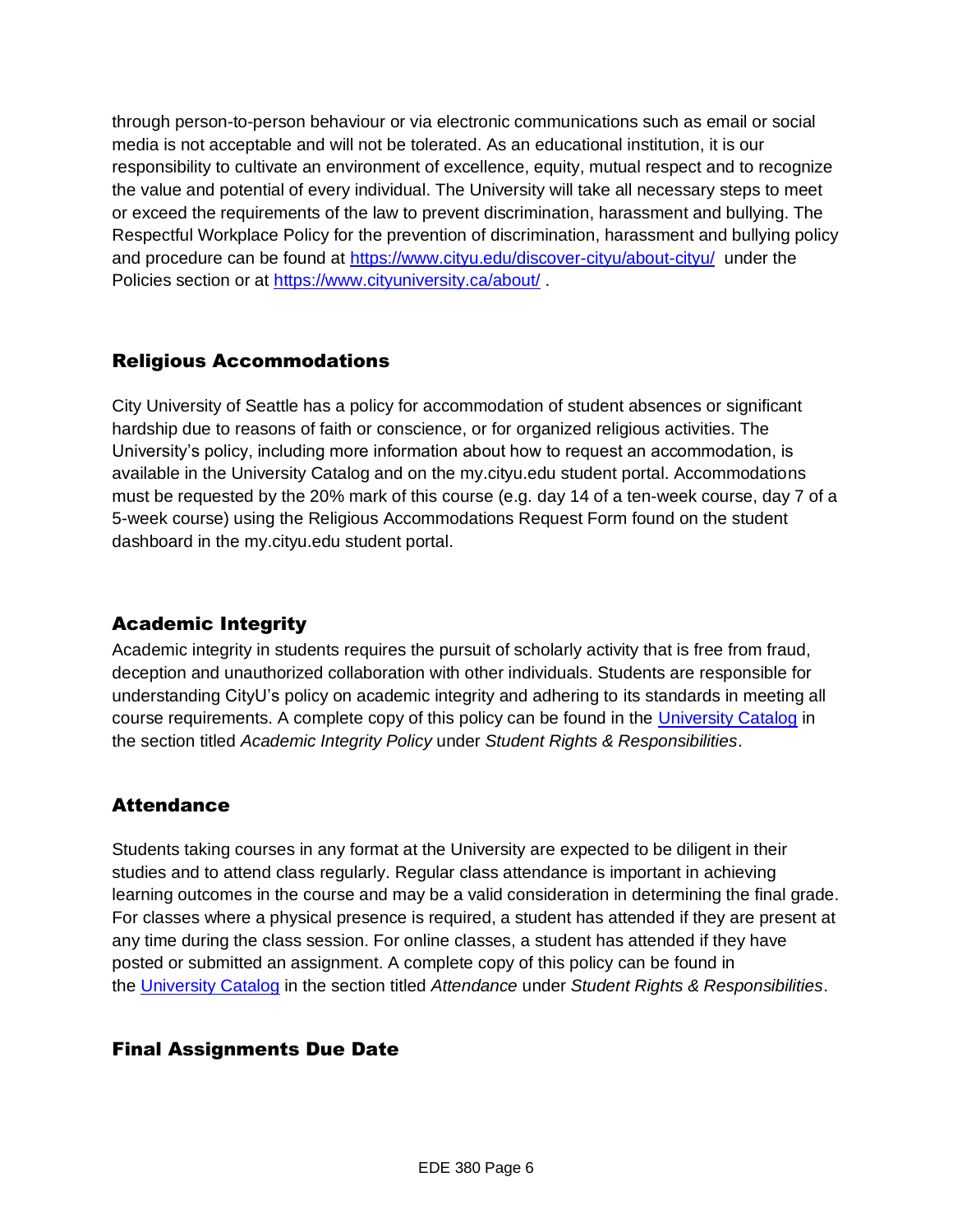through person-to-person behaviour or via electronic communications such as email or social media is not acceptable and will not be tolerated. As an educational institution, it is our responsibility to cultivate an environment of excellence, equity, mutual respect and to recognize the value and potential of every individual. The University will take all necessary steps to meet or exceed the requirements of the law to prevent discrimination, harassment and bullying. The Respectful Workplace Policy for the prevention of discrimination, harassment and bullying policy and procedure can be found at [https://www.cityu.edu/discover-cityu/about-cityu/](https://nam11.safelinks.protection.outlook.com/?url=https%3A%2F%2Fwww.cityu.edu%2Fdiscover-cityu%2Fabout-cityu%2F&data=04%7C01%7Claker%40cityu.edu%7Cbc558c70c10340dbaa2408d9172365a0%7Cb3fa96d9f5154662add763d854e39e63%7C1%7C0%7C637566263054331957%7CUnknown%7CTWFpbGZsb3d8eyJWIjoiMC4wLjAwMDAiLCJQIjoiV2luMzIiLCJBTiI6Ik1haWwiLCJXVCI6Mn0%3D%7C1000&sdata=7Q6QoqwuNLfeOJPewViWSeIwRIBy%2BoqDOiP8xSHYm78%3D&reserved=0) under the Policies section or at [https://www.cityuniversity.ca/about/](https://nam11.safelinks.protection.outlook.com/?url=https%3A%2F%2Fwww.cityuniversity.ca%2Fabout%2F&data=04%7C01%7Claker%40cityu.edu%7Cbc558c70c10340dbaa2408d9172365a0%7Cb3fa96d9f5154662add763d854e39e63%7C1%7C0%7C637566263054331957%7CUnknown%7CTWFpbGZsb3d8eyJWIjoiMC4wLjAwMDAiLCJQIjoiV2luMzIiLCJBTiI6Ik1haWwiLCJXVCI6Mn0%3D%7C1000&sdata=TX6bXEiU0CC6hC1mrTnKpuJywbR06qAj7RMu8QC4RUA%3D&reserved=0) .

#### Religious Accommodations

City University of Seattle has a policy for accommodation of student absences or significant hardship due to reasons of faith or conscience, or for organized religious activities. The University's policy, including more information about how to request an accommodation, is available in the University Catalog and on the my.cityu.edu student portal. Accommodations must be requested by the 20% mark of this course (e.g. day 14 of a ten-week course, day 7 of a 5-week course) using the Religious Accommodations Request Form found on the student dashboard in the my.cityu.edu student portal.

### Academic Integrity

Academic integrity in students requires the pursuit of scholarly activity that is free from fraud, deception and unauthorized collaboration with other individuals. Students are responsible for understanding CityU's policy on academic integrity and adhering to its standards in meeting all course requirements. A complete copy of this policy can be found in the [University Catalog](https://nam11.safelinks.protection.outlook.com/?url=http%3A%2F%2Fwww.cityu.edu%2Fcatalog%2F&data=04%7C01%7Claker%40cityu.edu%7Cbc558c70c10340dbaa2408d9172365a0%7Cb3fa96d9f5154662add763d854e39e63%7C1%7C0%7C637566263054341952%7CUnknown%7CTWFpbGZsb3d8eyJWIjoiMC4wLjAwMDAiLCJQIjoiV2luMzIiLCJBTiI6Ik1haWwiLCJXVCI6Mn0%3D%7C1000&sdata=aL6fsSyLtVzJgdrlE9PtZXb%2F3H6wCdrvPcw4zOoEYTI%3D&reserved=0) in the section titled *Academic Integrity Policy* under *Student Rights & Responsibilities*.

### **Attendance**

Students taking courses in any format at the University are expected to be diligent in their studies and to attend class regularly. Regular class attendance is important in achieving learning outcomes in the course and may be a valid consideration in determining the final grade. For classes where a physical presence is required, a student has attended if they are present at any time during the class session. For online classes, a student has attended if they have posted or submitted an assignment. A complete copy of this policy can be found in the [University Catalog](https://nam11.safelinks.protection.outlook.com/?url=http%3A%2F%2Fwww.cityu.edu%2Fcatalog%2F&data=04%7C01%7Claker%40cityu.edu%7Cbc558c70c10340dbaa2408d9172365a0%7Cb3fa96d9f5154662add763d854e39e63%7C1%7C0%7C637566263054341952%7CUnknown%7CTWFpbGZsb3d8eyJWIjoiMC4wLjAwMDAiLCJQIjoiV2luMzIiLCJBTiI6Ik1haWwiLCJXVCI6Mn0%3D%7C1000&sdata=aL6fsSyLtVzJgdrlE9PtZXb%2F3H6wCdrvPcw4zOoEYTI%3D&reserved=0) in the section titled *Attendance* under *Student Rights & Responsibilities*.

### Final Assignments Due Date